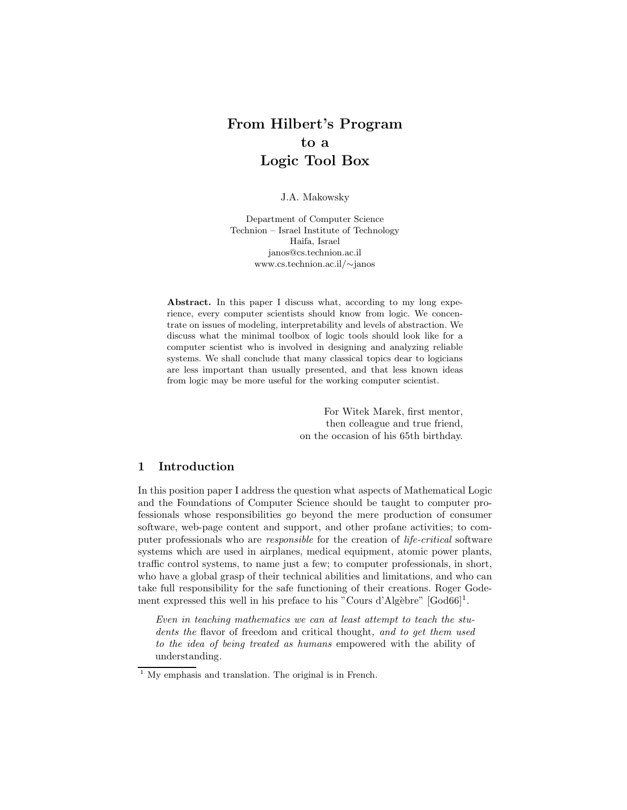# From Hilbert's Program to a Logic Tool Box

J.A. Makowsky

Department of Computer Science Technion – Israel Institute of Technology Haifa, Israel janos@cs.technion.ac.il www.cs.technion.ac.il/∼janos

Abstract. In this paper I discuss what, according to my long experience, every computer scientists should know from logic. We concentrate on issues of modeling, interpretability and levels of abstraction. We discuss what the minimal toolbox of logic tools should look like for a computer scientist who is involved in designing and analyzing reliable systems. We shall conclude that many classical topics dear to logicians are less important than usually presented, and that less known ideas from logic may be more useful for the working computer scientist.

> For Witek Marek, first mentor, then colleague and true friend, on the occasion of his 65th birthday.

# 1 Introduction

In this position paper I address the question what aspects of Mathematical Logic and the Foundations of Computer Science should be taught to computer professionals whose responsibilities go beyond the mere production of consumer software, web-page content and support, and other profane activities; to computer professionals who are responsible for the creation of life-critical software systems which are used in airplanes, medical equipment, atomic power plants, traffic control systems, to name just a few; to computer professionals, in short, who have a global grasp of their technical abilities and limitations, and who can take full responsibility for the safe functioning of their creations. Roger Godement expressed this well in his preface to his "Cours d'Algèbre"  $[God66]$ <sup>1</sup>.

Even in teaching mathematics we can at least attempt to teach the students the flavor of freedom and critical thought, and to get them used to the idea of being treated as humans empowered with the ability of understanding.

<sup>&</sup>lt;sup>1</sup> My emphasis and translation. The original is in French.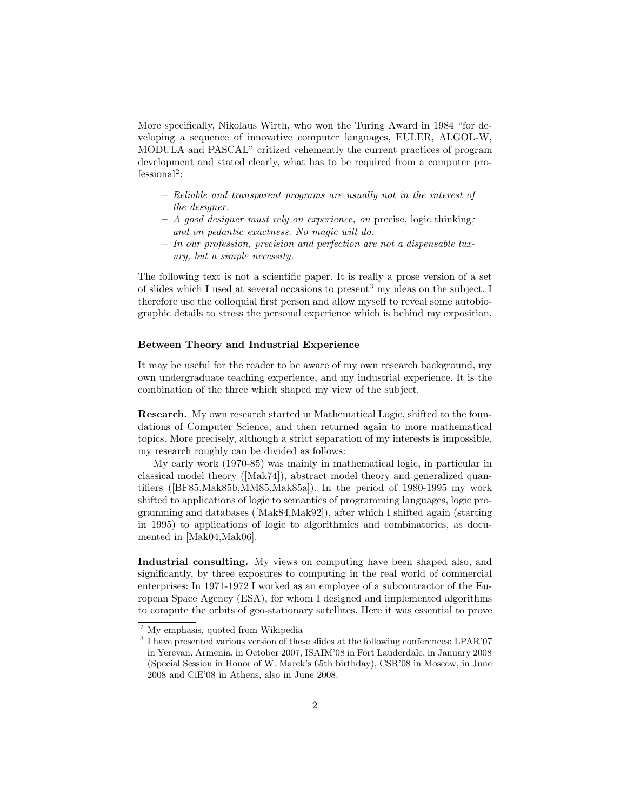More specifically, Nikolaus Wirth, who won the Turing Award in 1984 "for developing a sequence of innovative computer languages, EULER, ALGOL-W, MODULA and PASCAL" critized vehemently the current practices of program development and stated clearly, what has to be required from a computer professional<sup>2</sup>:

- Reliable and transparent programs are usually not in the interest of the designer.
- $A$  good designer must rely on experience, on precise, logic thinking; and on pedantic exactness. No magic will do.
- In our profession, precision and perfection are not a dispensable luxury, but a simple necessity.

The following text is not a scientific paper. It is really a prose version of a set of slides which I used at several occasions to present<sup>3</sup> my ideas on the subject. I therefore use the colloquial first person and allow myself to reveal some autobiographic details to stress the personal experience which is behind my exposition.

# Between Theory and Industrial Experience

It may be useful for the reader to be aware of my own research background, my own undergraduate teaching experience, and my industrial experience. It is the combination of the three which shaped my view of the subject.

Research. My own research started in Mathematical Logic, shifted to the foundations of Computer Science, and then returned again to more mathematical topics. More precisely, although a strict separation of my interests is impossible, my research roughly can be divided as follows:

My early work (1970-85) was mainly in mathematical logic, in particular in classical model theory ([Mak74]), abstract model theory and generalized quantifiers ([BF85,Mak85b,MM85,Mak85a]). In the period of 1980-1995 my work shifted to applications of logic to semantics of programming languages, logic programming and databases ([Mak84,Mak92]), after which I shifted again (starting in 1995) to applications of logic to algorithmics and combinatorics, as documented in [Mak04,Mak06].

Industrial consulting. My views on computing have been shaped also, and significantly, by three exposures to computing in the real world of commercial enterprises: In 1971-1972 I worked as an employee of a subcontractor of the European Space Agency (ESA), for whom I designed and implemented algorithms to compute the orbits of geo-stationary satellites. Here it was essential to prove

<sup>2</sup> My emphasis, quoted from Wikipedia

<sup>&</sup>lt;sup>3</sup> I have presented various version of these slides at the following conferences: LPAR'07 in Yerevan, Armenia, in October 2007, ISAIM'08 in Fort Lauderdale, in January 2008 (Special Session in Honor of W. Marek's 65th birthday), CSR'08 in Moscow, in June 2008 and CiE'08 in Athens, also in June 2008.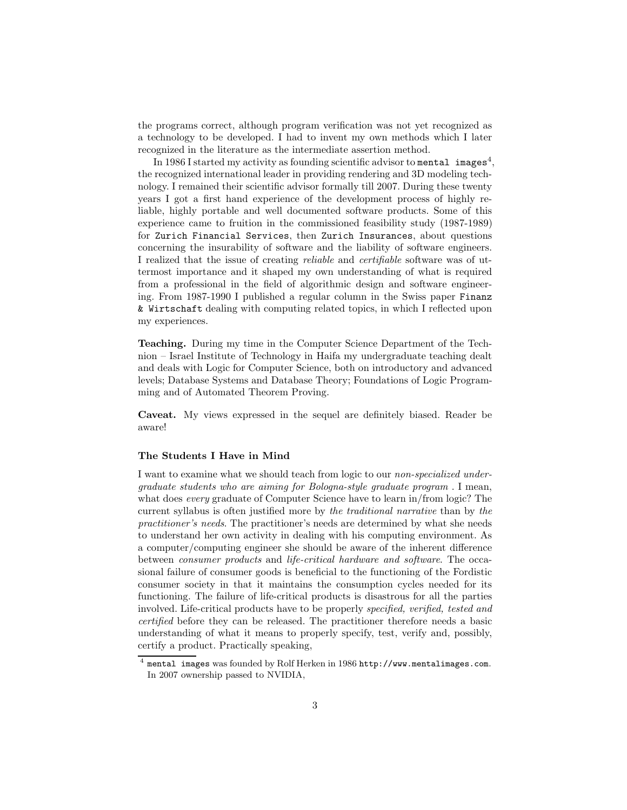the programs correct, although program verification was not yet recognized as a technology to be developed. I had to invent my own methods which I later recognized in the literature as the intermediate assertion method.

In 1986 I started my activity as founding scientific advisor to  $\mathtt{mental\ images^4},$ the recognized international leader in providing rendering and 3D modeling technology. I remained their scientific advisor formally till 2007. During these twenty years I got a first hand experience of the development process of highly reliable, highly portable and well documented software products. Some of this experience came to fruition in the commissioned feasibility study (1987-1989) for Zurich Financial Services, then Zurich Insurances, about questions concerning the insurability of software and the liability of software engineers. I realized that the issue of creating reliable and certifiable software was of uttermost importance and it shaped my own understanding of what is required from a professional in the field of algorithmic design and software engineering. From 1987-1990 I published a regular column in the Swiss paper Finanz & Wirtschaft dealing with computing related topics, in which I reflected upon my experiences.

Teaching. During my time in the Computer Science Department of the Technion – Israel Institute of Technology in Haifa my undergraduate teaching dealt and deals with Logic for Computer Science, both on introductory and advanced levels; Database Systems and Database Theory; Foundations of Logic Programming and of Automated Theorem Proving.

Caveat. My views expressed in the sequel are definitely biased. Reader be aware!

### The Students I Have in Mind

I want to examine what we should teach from logic to our non-specialized undergraduate students who are aiming for Bologna-style graduate program . I mean, what does every graduate of Computer Science have to learn in/from logic? The current syllabus is often justified more by the traditional narrative than by the practitioner's needs. The practitioner's needs are determined by what she needs to understand her own activity in dealing with his computing environment. As a computer/computing engineer she should be aware of the inherent difference between consumer products and life-critical hardware and software. The occasional failure of consumer goods is beneficial to the functioning of the Fordistic consumer society in that it maintains the consumption cycles needed for its functioning. The failure of life-critical products is disastrous for all the parties involved. Life-critical products have to be properly specified, verified, tested and certified before they can be released. The practitioner therefore needs a basic understanding of what it means to properly specify, test, verify and, possibly, certify a product. Practically speaking,

 $^4$  mental images was founded by Rolf Herken in 1986  ${\tt http://www.mentalimages.com.}$ In 2007 ownership passed to NVIDIA,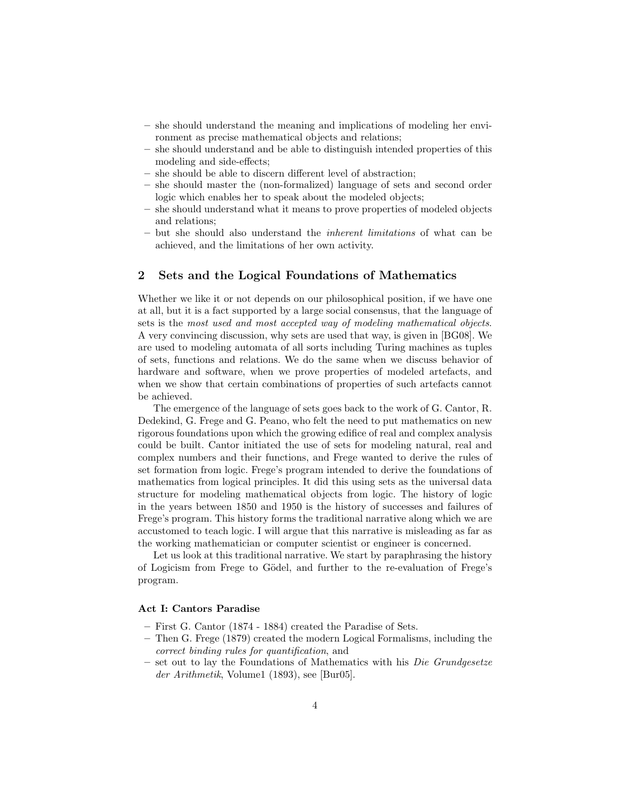- she should understand the meaning and implications of modeling her environment as precise mathematical objects and relations;
- she should understand and be able to distinguish intended properties of this modeling and side-effects;
- she should be able to discern different level of abstraction;
- she should master the (non-formalized) language of sets and second order logic which enables her to speak about the modeled objects;
- she should understand what it means to prove properties of modeled objects and relations;
- but she should also understand the inherent limitations of what can be achieved, and the limitations of her own activity.

# 2 Sets and the Logical Foundations of Mathematics

Whether we like it or not depends on our philosophical position, if we have one at all, but it is a fact supported by a large social consensus, that the language of sets is the most used and most accepted way of modeling mathematical objects. A very convincing discussion, why sets are used that way, is given in [BG08]. We are used to modeling automata of all sorts including Turing machines as tuples of sets, functions and relations. We do the same when we discuss behavior of hardware and software, when we prove properties of modeled artefacts, and when we show that certain combinations of properties of such artefacts cannot be achieved.

The emergence of the language of sets goes back to the work of G. Cantor, R. Dedekind, G. Frege and G. Peano, who felt the need to put mathematics on new rigorous foundations upon which the growing edifice of real and complex analysis could be built. Cantor initiated the use of sets for modeling natural, real and complex numbers and their functions, and Frege wanted to derive the rules of set formation from logic. Frege's program intended to derive the foundations of mathematics from logical principles. It did this using sets as the universal data structure for modeling mathematical objects from logic. The history of logic in the years between 1850 and 1950 is the history of successes and failures of Frege's program. This history forms the traditional narrative along which we are accustomed to teach logic. I will argue that this narrative is misleading as far as the working mathematician or computer scientist or engineer is concerned.

Let us look at this traditional narrative. We start by paraphrasing the history of Logicism from Frege to Gödel, and further to the re-evaluation of Frege's program.

#### Act I: Cantors Paradise

- First G. Cantor (1874 1884) created the Paradise of Sets.
- Then G. Frege (1879) created the modern Logical Formalisms, including the correct binding rules for quantification, and
- set out to lay the Foundations of Mathematics with his Die Grundgesetze der Arithmetik, Volume1 (1893), see [Bur05].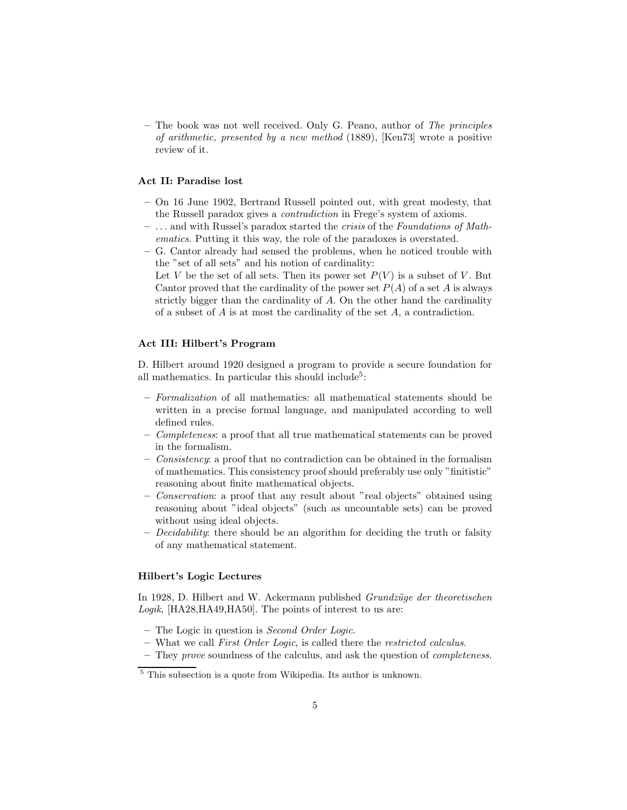– The book was not well received. Only G. Peano, author of The principles of arithmetic, presented by a new method (1889), [Ken73] wrote a positive review of it.

# Act II: Paradise lost

- On 16 June 1902, Bertrand Russell pointed out, with great modesty, that the Russell paradox gives a contradiction in Frege's system of axioms.
- $-$ ... and with Russel's paradox started the *crisis* of the *Foundations of Math*ematics. Putting it this way, the role of the paradoxes is overstated.
- G. Cantor already had sensed the problems, when he noticed trouble with the "set of all sets" and his notion of cardinality:
	- Let V be the set of all sets. Then its power set  $P(V)$  is a subset of V. But Cantor proved that the cardinality of the power set  $P(A)$  of a set A is always strictly bigger than the cardinality of A. On the other hand the cardinality of a subset of  $A$  is at most the cardinality of the set  $A$ , a contradiction.

# Act III: Hilbert's Program

D. Hilbert around 1920 designed a program to provide a secure foundation for all mathematics. In particular this should include<sup>5</sup>:

- Formalization of all mathematics: all mathematical statements should be written in a precise formal language, and manipulated according to well defined rules.
- Completeness: a proof that all true mathematical statements can be proved in the formalism.
- $\sim$  Consistency: a proof that no contradiction can be obtained in the formalism of mathematics. This consistency proof should preferably use only "finitistic" reasoning about finite mathematical objects.
- Conservation: a proof that any result about "real objects" obtained using reasoning about "ideal objects" (such as uncountable sets) can be proved without using ideal objects.
- Decidability: there should be an algorithm for deciding the truth or falsity of any mathematical statement.

### Hilbert's Logic Lectures

In 1928, D. Hilbert and W. Ackermann published *Grundzüge der theoretischen* Logik, [HA28, HA49, HA50]. The points of interest to us are:

- The Logic in question is Second Order Logic.
- What we call First Order Logic, is called there the restricted calculus.
- $-$  They prove soundness of the calculus, and ask the question of *completeness*.

<sup>5</sup> This subsection is a quote from Wikipedia. Its author is unknown.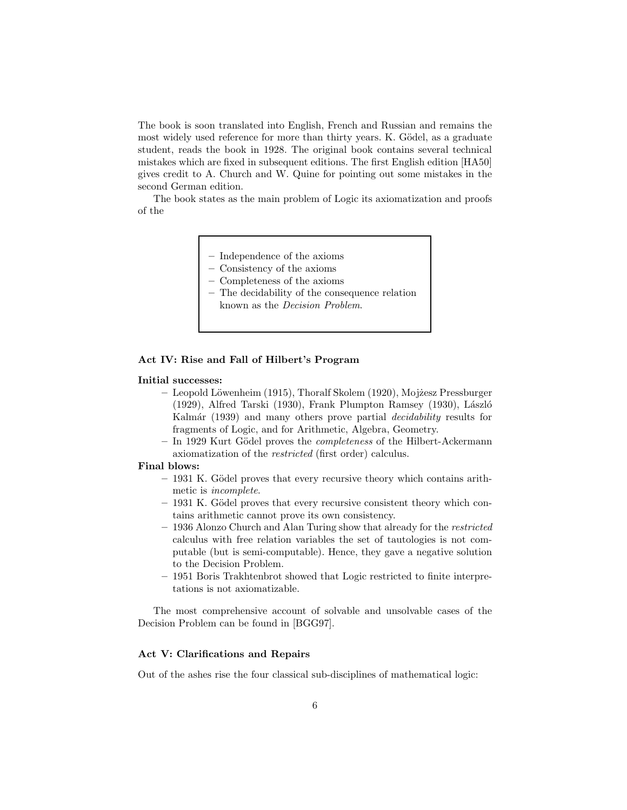The book is soon translated into English, French and Russian and remains the most widely used reference for more than thirty years. K. Gödel, as a graduate student, reads the book in 1928. The original book contains several technical mistakes which are fixed in subsequent editions. The first English edition [HA50] gives credit to A. Church and W. Quine for pointing out some mistakes in the second German edition.

The book states as the main problem of Logic its axiomatization and proofs of the

- Independence of the axioms
- Consistency of the axioms
- Completeness of the axioms
- The decidability of the consequence relation known as the Decision Problem.

# Act IV: Rise and Fall of Hilbert's Program

#### Initial successes:

- Leopold L¨owenheim (1915), Thoralf Skolem (1920), Moj˙zesz Pressburger  $(1929)$ , Alfred Tarski  $(1930)$ , Frank Plumpton Ramsey  $(1930)$ , László Kalmár (1939) and many others prove partial *decidability* results for fragments of Logic, and for Arithmetic, Algebra, Geometry.
- $-$  In 1929 Kurt Gödel proves the *completeness* of the Hilbert-Ackermann axiomatization of the restricted (first order) calculus.

#### Final blows:

- $-$  1931 K. Gödel proves that every recursive theory which contains arithmetic is incomplete.
- $-1931$  K. Gödel proves that every recursive consistent theory which contains arithmetic cannot prove its own consistency.
- 1936 Alonzo Church and Alan Turing show that already for the restricted calculus with free relation variables the set of tautologies is not computable (but is semi-computable). Hence, they gave a negative solution to the Decision Problem.
- 1951 Boris Trakhtenbrot showed that Logic restricted to finite interpretations is not axiomatizable.

The most comprehensive account of solvable and unsolvable cases of the Decision Problem can be found in [BGG97].

# Act V: Clarifications and Repairs

Out of the ashes rise the four classical sub-disciplines of mathematical logic: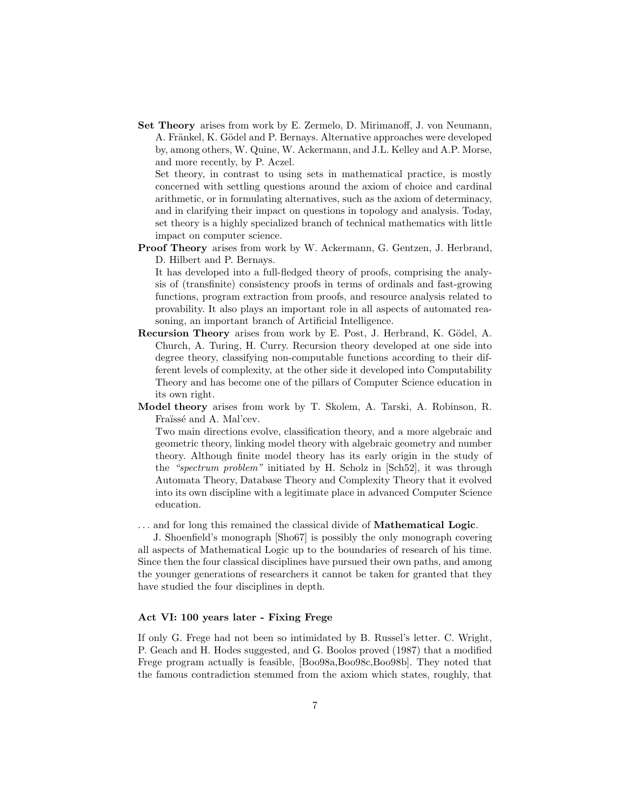Set Theory arises from work by E. Zermelo, D. Mirimanoff, J. von Neumann, A. Fränkel, K. Gödel and P. Bernays. Alternative approaches were developed by, among others, W. Quine, W. Ackermann, and J.L. Kelley and A.P. Morse, and more recently, by P. Aczel.

Set theory, in contrast to using sets in mathematical practice, is mostly concerned with settling questions around the axiom of choice and cardinal arithmetic, or in formulating alternatives, such as the axiom of determinacy, and in clarifying their impact on questions in topology and analysis. Today, set theory is a highly specialized branch of technical mathematics with little impact on computer science.

Proof Theory arises from work by W. Ackermann, G. Gentzen, J. Herbrand, D. Hilbert and P. Bernays.

It has developed into a full-fledged theory of proofs, comprising the analysis of (transfinite) consistency proofs in terms of ordinals and fast-growing functions, program extraction from proofs, and resource analysis related to provability. It also plays an important role in all aspects of automated reasoning, an important branch of Artificial Intelligence.

- Recursion Theory arises from work by E. Post, J. Herbrand, K. Gödel, A. Church, A. Turing, H. Curry. Recursion theory developed at one side into degree theory, classifying non-computable functions according to their different levels of complexity, at the other side it developed into Computability Theory and has become one of the pillars of Computer Science education in its own right.
- Model theory arises from work by T. Skolem, A. Tarski, A. Robinson, R. Fraïssé and A. Mal'cev.

Two main directions evolve, classification theory, and a more algebraic and geometric theory, linking model theory with algebraic geometry and number theory. Although finite model theory has its early origin in the study of the "spectrum problem" initiated by H. Scholz in [Sch52], it was through Automata Theory, Database Theory and Complexity Theory that it evolved into its own discipline with a legitimate place in advanced Computer Science education.

... and for long this remained the classical divide of **Mathematical Logic**.

J. Shoenfield's monograph [Sho67] is possibly the only monograph covering all aspects of Mathematical Logic up to the boundaries of research of his time. Since then the four classical disciplines have pursued their own paths, and among the younger generations of researchers it cannot be taken for granted that they have studied the four disciplines in depth.

# Act VI: 100 years later - Fixing Frege

If only G. Frege had not been so intimidated by B. Russel's letter. C. Wright, P. Geach and H. Hodes suggested, and G. Boolos proved (1987) that a modified Frege program actually is feasible, [Boo98a,Boo98c,Boo98b]. They noted that the famous contradiction stemmed from the axiom which states, roughly, that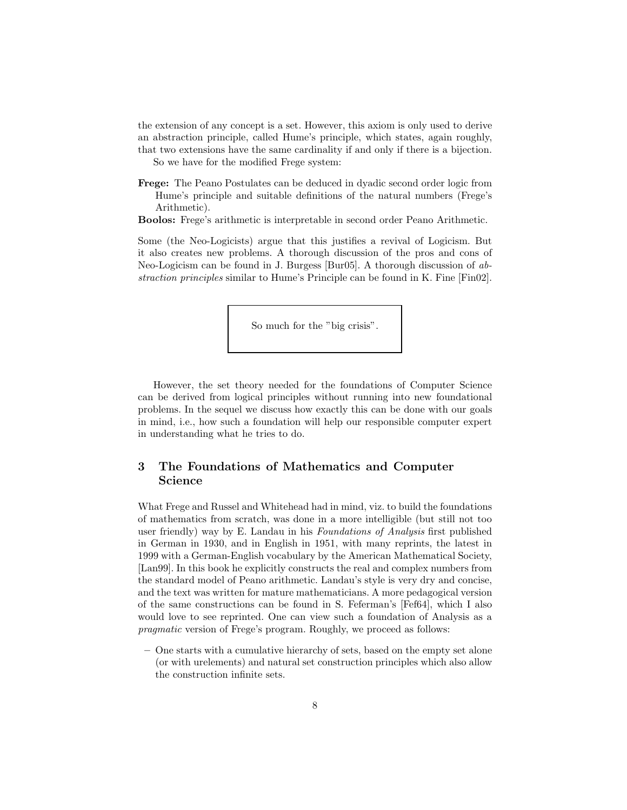the extension of any concept is a set. However, this axiom is only used to derive an abstraction principle, called Hume's principle, which states, again roughly, that two extensions have the same cardinality if and only if there is a bijection.

So we have for the modified Frege system:

- Frege: The Peano Postulates can be deduced in dyadic second order logic from Hume's principle and suitable definitions of the natural numbers (Frege's Arithmetic).
- Boolos: Frege's arithmetic is interpretable in second order Peano Arithmetic.

Some (the Neo-Logicists) argue that this justifies a revival of Logicism. But it also creates new problems. A thorough discussion of the pros and cons of Neo-Logicism can be found in J. Burgess [Bur05]. A thorough discussion of abstraction principles similar to Hume's Principle can be found in K. Fine [Fin02].

So much for the "big crisis".

However, the set theory needed for the foundations of Computer Science can be derived from logical principles without running into new foundational problems. In the sequel we discuss how exactly this can be done with our goals in mind, i.e., how such a foundation will help our responsible computer expert in understanding what he tries to do.

# 3 The Foundations of Mathematics and Computer Science

What Frege and Russel and Whitehead had in mind, viz. to build the foundations of mathematics from scratch, was done in a more intelligible (but still not too user friendly) way by E. Landau in his Foundations of Analysis first published in German in 1930, and in English in 1951, with many reprints, the latest in 1999 with a German-English vocabulary by the American Mathematical Society, [Lan99]. In this book he explicitly constructs the real and complex numbers from the standard model of Peano arithmetic. Landau's style is very dry and concise, and the text was written for mature mathematicians. A more pedagogical version of the same constructions can be found in S. Feferman's [Fef64], which I also would love to see reprinted. One can view such a foundation of Analysis as a pragmatic version of Frege's program. Roughly, we proceed as follows:

– One starts with a cumulative hierarchy of sets, based on the empty set alone (or with urelements) and natural set construction principles which also allow the construction infinite sets.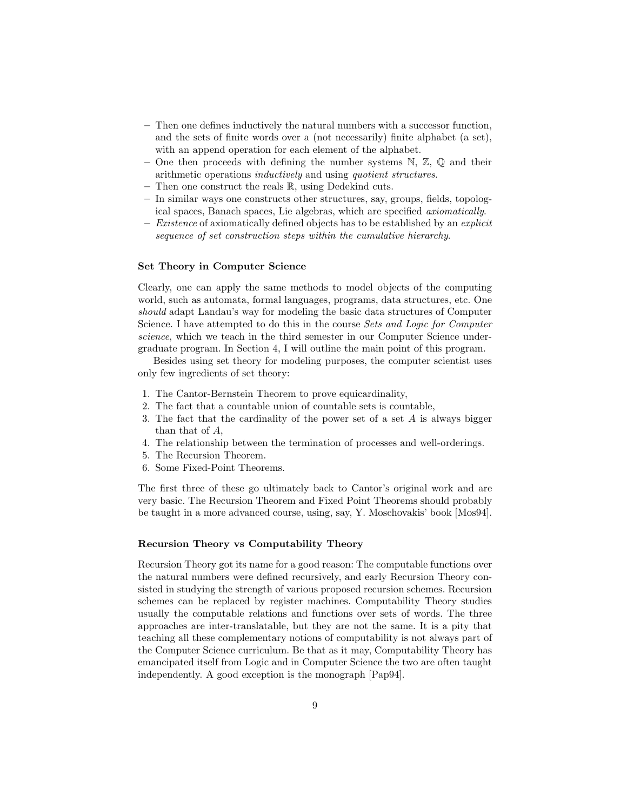- Then one defines inductively the natural numbers with a successor function, and the sets of finite words over a (not necessarily) finite alphabet (a set), with an append operation for each element of the alphabet.
- One then proceeds with defining the number systems  $\mathbb{N}, \mathbb{Z}, \mathbb{Q}$  and their arithmetic operations inductively and using quotient structures.
- Then one construct the reals  $\mathbb R$ , using Dedekind cuts.
- In similar ways one constructs other structures, say, groups, fields, topological spaces, Banach spaces, Lie algebras, which are specified axiomatically.
- $-$  *Existence* of axiomatically defined objects has to be established by an *explicit* sequence of set construction steps within the cumulative hierarchy.

#### Set Theory in Computer Science

Clearly, one can apply the same methods to model objects of the computing world, such as automata, formal languages, programs, data structures, etc. One should adapt Landau's way for modeling the basic data structures of Computer Science. I have attempted to do this in the course Sets and Logic for Computer science, which we teach in the third semester in our Computer Science undergraduate program. In Section 4, I will outline the main point of this program.

Besides using set theory for modeling purposes, the computer scientist uses only few ingredients of set theory:

- 1. The Cantor-Bernstein Theorem to prove equicardinality,
- 2. The fact that a countable union of countable sets is countable,
- 3. The fact that the cardinality of the power set of a set A is always bigger than that of A,
- 4. The relationship between the termination of processes and well-orderings.
- 5. The Recursion Theorem.
- 6. Some Fixed-Point Theorems.

The first three of these go ultimately back to Cantor's original work and are very basic. The Recursion Theorem and Fixed Point Theorems should probably be taught in a more advanced course, using, say, Y. Moschovakis' book [Mos94].

# Recursion Theory vs Computability Theory

Recursion Theory got its name for a good reason: The computable functions over the natural numbers were defined recursively, and early Recursion Theory consisted in studying the strength of various proposed recursion schemes. Recursion schemes can be replaced by register machines. Computability Theory studies usually the computable relations and functions over sets of words. The three approaches are inter-translatable, but they are not the same. It is a pity that teaching all these complementary notions of computability is not always part of the Computer Science curriculum. Be that as it may, Computability Theory has emancipated itself from Logic and in Computer Science the two are often taught independently. A good exception is the monograph [Pap94].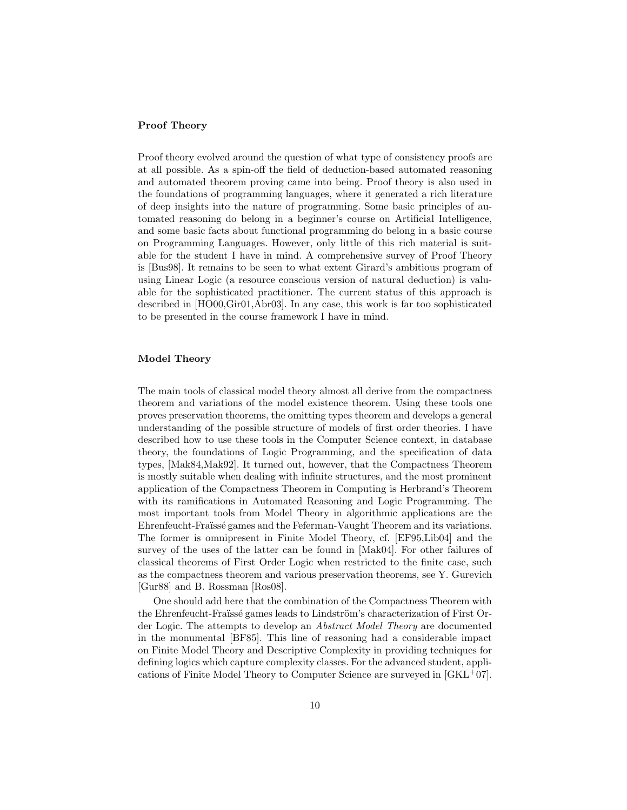### Proof Theory

Proof theory evolved around the question of what type of consistency proofs are at all possible. As a spin-off the field of deduction-based automated reasoning and automated theorem proving came into being. Proof theory is also used in the foundations of programming languages, where it generated a rich literature of deep insights into the nature of programming. Some basic principles of automated reasoning do belong in a beginner's course on Artificial Intelligence, and some basic facts about functional programming do belong in a basic course on Programming Languages. However, only little of this rich material is suitable for the student I have in mind. A comprehensive survey of Proof Theory is [Bus98]. It remains to be seen to what extent Girard's ambitious program of using Linear Logic (a resource conscious version of natural deduction) is valuable for the sophisticated practitioner. The current status of this approach is described in [HO00,Gir01,Abr03]. In any case, this work is far too sophisticated to be presented in the course framework I have in mind.

### Model Theory

The main tools of classical model theory almost all derive from the compactness theorem and variations of the model existence theorem. Using these tools one proves preservation theorems, the omitting types theorem and develops a general understanding of the possible structure of models of first order theories. I have described how to use these tools in the Computer Science context, in database theory, the foundations of Logic Programming, and the specification of data types, [Mak84,Mak92]. It turned out, however, that the Compactness Theorem is mostly suitable when dealing with infinite structures, and the most prominent application of the Compactness Theorem in Computing is Herbrand's Theorem with its ramifications in Automated Reasoning and Logic Programming. The most important tools from Model Theory in algorithmic applications are the Ehrenfeucht-Fraüssé games and the Feferman-Vaught Theorem and its variations. The former is omnipresent in Finite Model Theory, cf. [EF95,Lib04] and the survey of the uses of the latter can be found in [Mak04]. For other failures of classical theorems of First Order Logic when restricted to the finite case, such as the compactness theorem and various preservation theorems, see Y. Gurevich [Gur88] and B. Rossman [Ros08].

One should add here that the combination of the Compactness Theorem with the Ehrenfeucht-Fraïssé games leads to Lindström's characterization of First Order Logic. The attempts to develop an Abstract Model Theory are documented in the monumental [BF85]. This line of reasoning had a considerable impact on Finite Model Theory and Descriptive Complexity in providing techniques for defining logics which capture complexity classes. For the advanced student, applications of Finite Model Theory to Computer Science are surveyed in [GKL+07].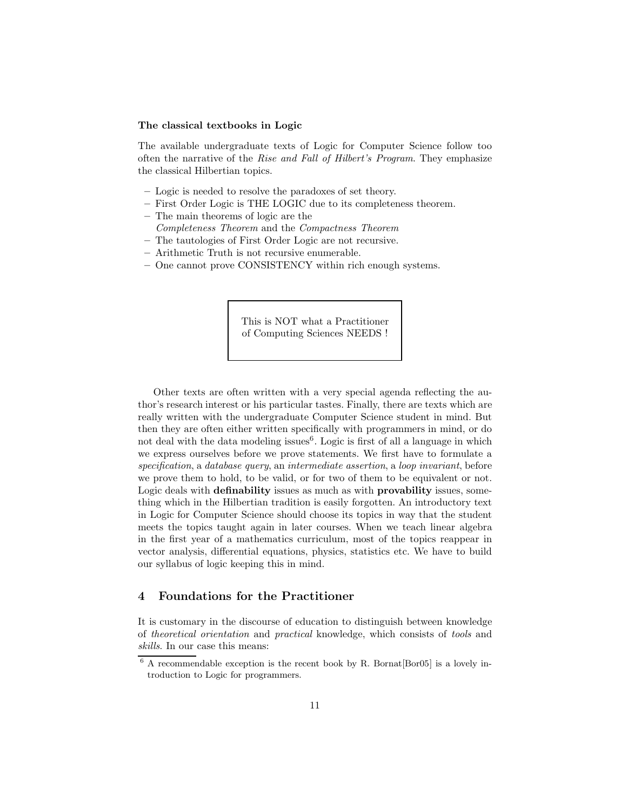### The classical textbooks in Logic

The available undergraduate texts of Logic for Computer Science follow too often the narrative of the Rise and Fall of Hilbert's Program. They emphasize the classical Hilbertian topics.

- Logic is needed to resolve the paradoxes of set theory.
- First Order Logic is THE LOGIC due to its completeness theorem.
- The main theorems of logic are the Completeness Theorem and the Compactness Theorem
- The tautologies of First Order Logic are not recursive.
- Arithmetic Truth is not recursive enumerable.
- One cannot prove CONSISTENCY within rich enough systems.

This is NOT what a Practitioner of Computing Sciences NEEDS !

Other texts are often written with a very special agenda reflecting the author's research interest or his particular tastes. Finally, there are texts which are really written with the undergraduate Computer Science student in mind. But then they are often either written specifically with programmers in mind, or do not deal with the data modeling issues<sup>6</sup>. Logic is first of all a language in which we express ourselves before we prove statements. We first have to formulate a specification, a database query, an intermediate assertion, a loop invariant, before we prove them to hold, to be valid, or for two of them to be equivalent or not. Logic deals with **definability** issues as much as with **provability** issues, something which in the Hilbertian tradition is easily forgotten. An introductory text in Logic for Computer Science should choose its topics in way that the student meets the topics taught again in later courses. When we teach linear algebra in the first year of a mathematics curriculum, most of the topics reappear in vector analysis, differential equations, physics, statistics etc. We have to build our syllabus of logic keeping this in mind.

# 4 Foundations for the Practitioner

It is customary in the discourse of education to distinguish between knowledge of theoretical orientation and practical knowledge, which consists of tools and skills. In our case this means:

 $6$  A recommendable exception is the recent book by R. Bornat [Bor05] is a lovely introduction to Logic for programmers.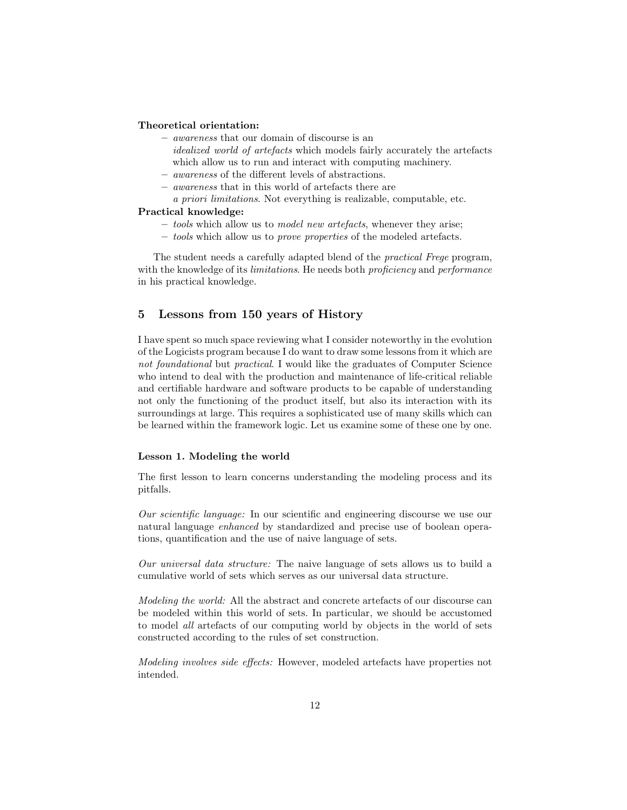# Theoretical orientation:

- awareness that our domain of discourse is an idealized world of artefacts which models fairly accurately the artefacts which allow us to run and interact with computing machinery.
- awareness of the different levels of abstractions.
- awareness that in this world of artefacts there are

a priori limitations. Not everything is realizable, computable, etc.

# Practical knowledge:

- tools which allow us to model new artefacts, whenever they arise;
- tools which allow us to prove properties of the modeled artefacts.

The student needs a carefully adapted blend of the practical Frege program, with the knowledge of its *limitations*. He needs both *proficiency* and *performance* in his practical knowledge.

# 5 Lessons from 150 years of History

I have spent so much space reviewing what I consider noteworthy in the evolution of the Logicists program because I do want to draw some lessons from it which are not foundational but practical. I would like the graduates of Computer Science who intend to deal with the production and maintenance of life-critical reliable and certifiable hardware and software products to be capable of understanding not only the functioning of the product itself, but also its interaction with its surroundings at large. This requires a sophisticated use of many skills which can be learned within the framework logic. Let us examine some of these one by one.

#### Lesson 1. Modeling the world

The first lesson to learn concerns understanding the modeling process and its pitfalls.

Our scientific language: In our scientific and engineering discourse we use our natural language enhanced by standardized and precise use of boolean operations, quantification and the use of naive language of sets.

Our universal data structure: The naive language of sets allows us to build a cumulative world of sets which serves as our universal data structure.

Modeling the world: All the abstract and concrete artefacts of our discourse can be modeled within this world of sets. In particular, we should be accustomed to model all artefacts of our computing world by objects in the world of sets constructed according to the rules of set construction.

Modeling involves side effects: However, modeled artefacts have properties not intended.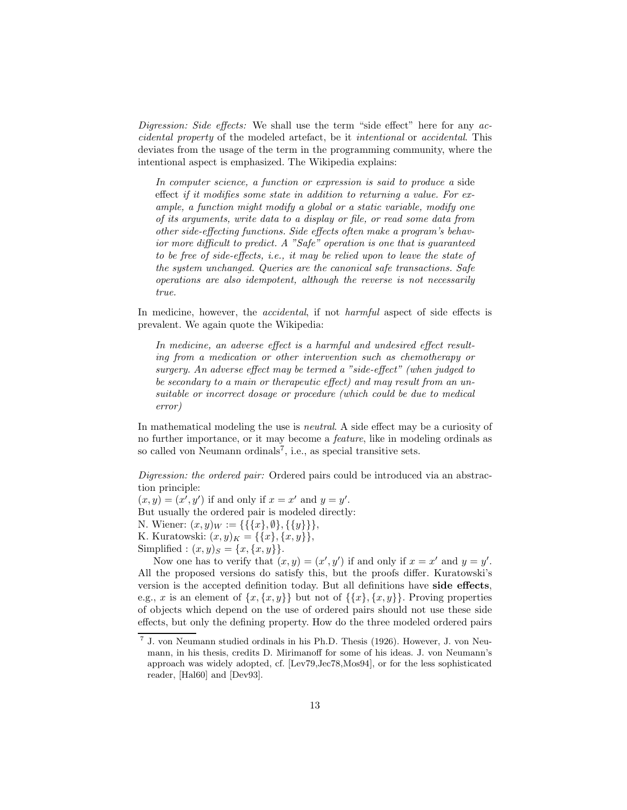Digression: Side effects: We shall use the term "side effect" here for any accidental property of the modeled artefact, be it intentional or accidental. This deviates from the usage of the term in the programming community, where the intentional aspect is emphasized. The Wikipedia explains:

In computer science, a function or expression is said to produce a side effect if it modifies some state in addition to returning a value. For example, a function might modify a global or a static variable, modify one of its arguments, write data to a display or file, or read some data from other side-effecting functions. Side effects often make a program's behavior more difficult to predict. A "Safe" operation is one that is guaranteed to be free of side-effects, i.e., it may be relied upon to leave the state of the system unchanged. Queries are the canonical safe transactions. Safe operations are also idempotent, although the reverse is not necessarily true.

In medicine, however, the *accidental*, if not *harmful* aspect of side effects is prevalent. We again quote the Wikipedia:

In medicine, an adverse effect is a harmful and undesired effect resulting from a medication or other intervention such as chemotherapy or surgery. An adverse effect may be termed a "side-effect" (when judged to be secondary to a main or therapeutic effect) and may result from an unsuitable or incorrect dosage or procedure (which could be due to medical error)

In mathematical modeling the use is *neutral*. A side effect may be a curiosity of no further importance, or it may become a feature, like in modeling ordinals as so called von Neumann ordinals<sup>7</sup>, i.e., as special transitive sets.

Digression: the ordered pair: Ordered pairs could be introduced via an abstraction principle:

 $(x, y) = (x', y')$  if and only if  $x = x'$  and  $y = y'$ . But usually the ordered pair is modeled directly: N. Wiener:  $(x, y)_W := \{\{\{x\}, \emptyset\}, \{\{y\}\}\},\$ K. Kuratowski:  $(x, y)_K = \{\{x\}, \{x, y\}\},\$ Simplified :  $(x, y)_S = \{x, \{x, y\}\}.$ 

Now one has to verify that  $(x, y) = (x', y')$  if and only if  $x = x'$  and  $y = y'$ . All the proposed versions do satisfy this, but the proofs differ. Kuratowski's version is the accepted definition today. But all definitions have side effects, e.g., x is an element of  $\{x, \{x, y\}\}\$  but not of  $\{\{x\}, \{x, y\}\}\$ . Proving properties of objects which depend on the use of ordered pairs should not use these side effects, but only the defining property. How do the three modeled ordered pairs

<sup>7</sup> J. von Neumann studied ordinals in his Ph.D. Thesis (1926). However, J. von Neumann, in his thesis, credits D. Mirimanoff for some of his ideas. J. von Neumann's approach was widely adopted, cf. [Lev79,Jec78,Mos94], or for the less sophisticated reader, [Hal60] and [Dev93].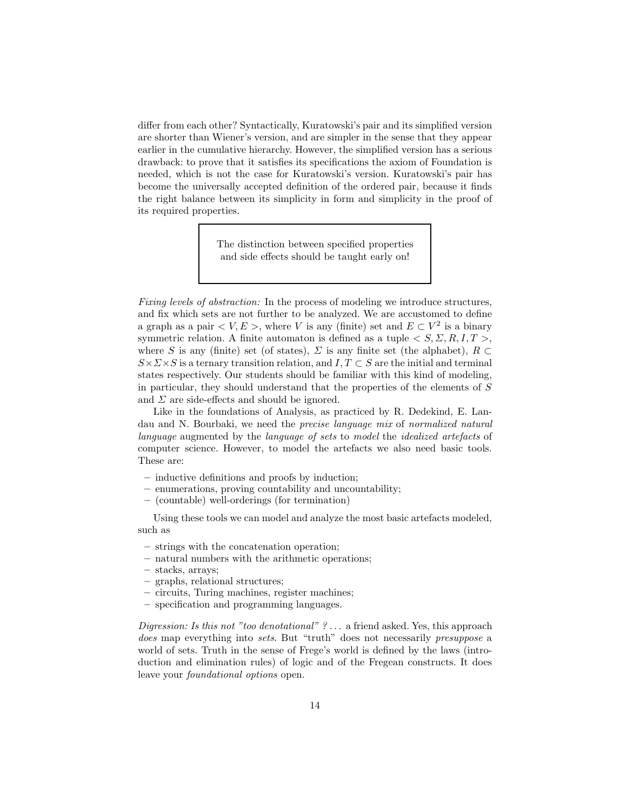differ from each other? Syntactically, Kuratowski's pair and its simplified version are shorter than Wiener's version, and are simpler in the sense that they appear earlier in the cumulative hierarchy. However, the simplified version has a serious drawback: to prove that it satisfies its specifications the axiom of Foundation is needed, which is not the case for Kuratowski's version. Kuratowski's pair has become the universally accepted definition of the ordered pair, because it finds the right balance between its simplicity in form and simplicity in the proof of its required properties.

> The distinction between specified properties and side effects should be taught early on!

Fixing levels of abstraction: In the process of modeling we introduce structures, and fix which sets are not further to be analyzed. We are accustomed to define a graph as a pair  $\langle V, E \rangle$ , where V is any (finite) set and  $E \subset V^2$  is a binary symmetric relation. A finite automaton is defined as a tuple  $\langle S, \Sigma, R, I, T \rangle$ , where S is any (finite) set (of states),  $\Sigma$  is any finite set (the alphabet),  $R \subset$  $S\times\Sigma\times S$  is a ternary transition relation, and  $I, T \subset S$  are the initial and terminal states respectively. Our students should be familiar with this kind of modeling, in particular, they should understand that the properties of the elements of  $S$ and  $\Sigma$  are side-effects and should be ignored.

Like in the foundations of Analysis, as practiced by R. Dedekind, E. Landau and N. Bourbaki, we need the precise language mix of normalized natural language augmented by the language of sets to model the idealized artefacts of computer science. However, to model the artefacts we also need basic tools. These are:

- inductive definitions and proofs by induction;
- enumerations, proving countability and uncountability;
- (countable) well-orderings (for termination)

Using these tools we can model and analyze the most basic artefacts modeled, such as

- strings with the concatenation operation;
- natural numbers with the arithmetic operations;
- stacks, arrays;
- graphs, relational structures;
- circuits, Turing machines, register machines;
- specification and programming languages.

Digression: Is this not "too denotational" ? ... a friend asked. Yes, this approach does map everything into sets. But "truth" does not necessarily presuppose a world of sets. Truth in the sense of Frege's world is defined by the laws (introduction and elimination rules) of logic and of the Fregean constructs. It does leave your foundational options open.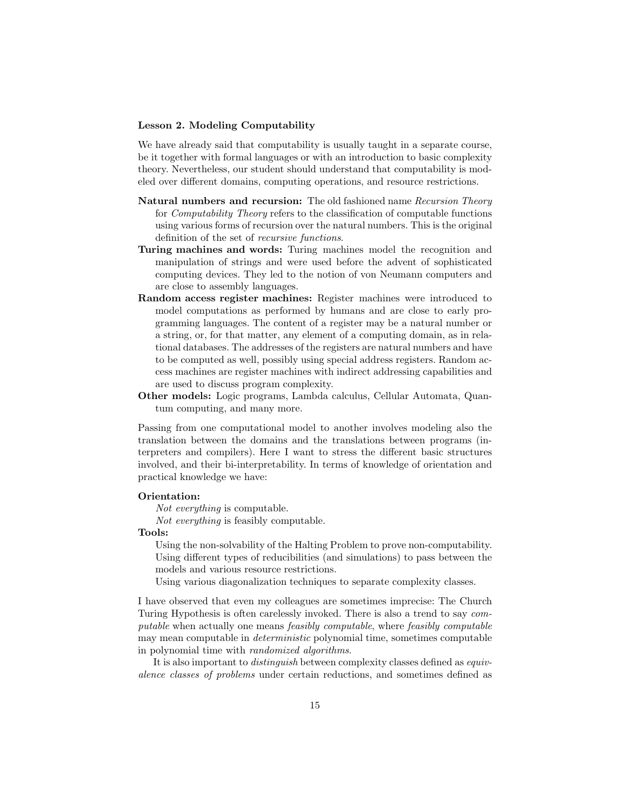## Lesson 2. Modeling Computability

We have already said that computability is usually taught in a separate course, be it together with formal languages or with an introduction to basic complexity theory. Nevertheless, our student should understand that computability is modeled over different domains, computing operations, and resource restrictions.

- Natural numbers and recursion: The old fashioned name Recursion Theory for Computability Theory refers to the classification of computable functions using various forms of recursion over the natural numbers. This is the original definition of the set of recursive functions.
- Turing machines and words: Turing machines model the recognition and manipulation of strings and were used before the advent of sophisticated computing devices. They led to the notion of von Neumann computers and are close to assembly languages.
- Random access register machines: Register machines were introduced to model computations as performed by humans and are close to early programming languages. The content of a register may be a natural number or a string, or, for that matter, any element of a computing domain, as in relational databases. The addresses of the registers are natural numbers and have to be computed as well, possibly using special address registers. Random access machines are register machines with indirect addressing capabilities and are used to discuss program complexity.
- Other models: Logic programs, Lambda calculus, Cellular Automata, Quantum computing, and many more.

Passing from one computational model to another involves modeling also the translation between the domains and the translations between programs (interpreters and compilers). Here I want to stress the different basic structures involved, and their bi-interpretability. In terms of knowledge of orientation and practical knowledge we have:

#### Orientation:

Not everything is computable.

Not everything is feasibly computable.

### Tools:

Using the non-solvability of the Halting Problem to prove non-computability. Using different types of reducibilities (and simulations) to pass between the models and various resource restrictions.

Using various diagonalization techniques to separate complexity classes.

I have observed that even my colleagues are sometimes imprecise: The Church Turing Hypothesis is often carelessly invoked. There is also a trend to say computable when actually one means feasibly computable, where feasibly computable may mean computable in deterministic polynomial time, sometimes computable in polynomial time with randomized algorithms.

It is also important to distinguish between complexity classes defined as equivalence classes of problems under certain reductions, and sometimes defined as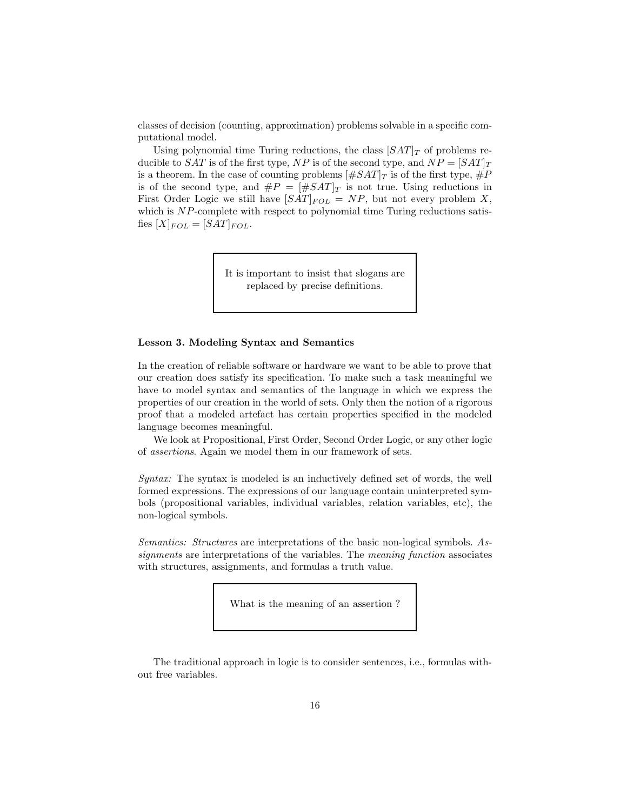classes of decision (counting, approximation) problems solvable in a specific computational model.

Using polynomial time Turing reductions, the class  $\left[SAT\right]$ <sub>T</sub> of problems reducible to SAT is of the first type, NP is of the second type, and  $NP = [SAT]_T$ is a theorem. In the case of counting problems  $[\#SAT]_T$  is of the first type,  $\#P$ is of the second type, and  $\#P = [\#SAT]_T$  is not true. Using reductions in First Order Logic we still have  $[SAT]_{FOL} = NP$ , but not every problem X, which is NP-complete with respect to polynomial time Turing reductions satisfies  $[X]_{FOL} = [SAT]_{FOL}$ .

> It is important to insist that slogans are replaced by precise definitions.

### Lesson 3. Modeling Syntax and Semantics

In the creation of reliable software or hardware we want to be able to prove that our creation does satisfy its specification. To make such a task meaningful we have to model syntax and semantics of the language in which we express the properties of our creation in the world of sets. Only then the notion of a rigorous proof that a modeled artefact has certain properties specified in the modeled language becomes meaningful.

We look at Propositional, First Order, Second Order Logic, or any other logic of assertions. Again we model them in our framework of sets.

Syntax: The syntax is modeled is an inductively defined set of words, the well formed expressions. The expressions of our language contain uninterpreted symbols (propositional variables, individual variables, relation variables, etc), the non-logical symbols.

Semantics: Structures are interpretations of the basic non-logical symbols. Assignments are interpretations of the variables. The meaning function associates with structures, assignments, and formulas a truth value.

What is the meaning of an assertion ?

The traditional approach in logic is to consider sentences, i.e., formulas without free variables.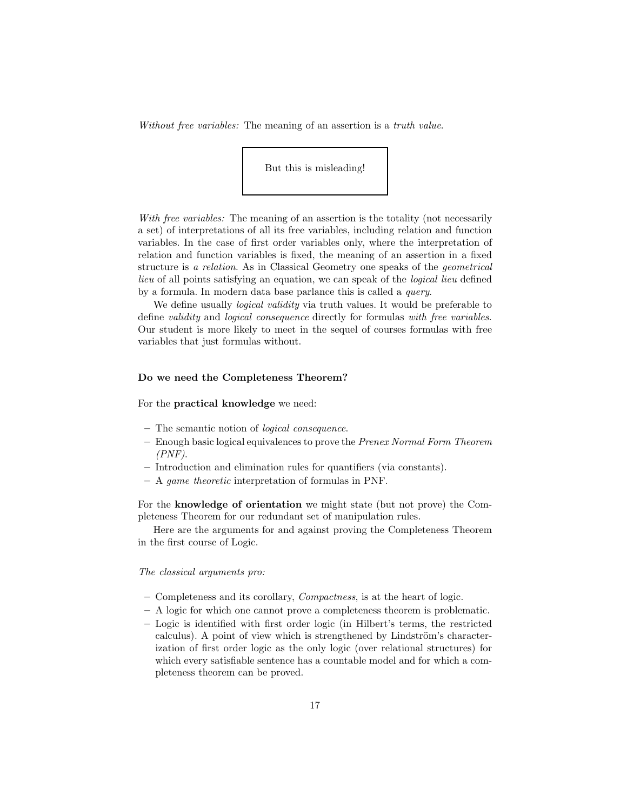Without free variables: The meaning of an assertion is a truth value.

But this is misleading!

With free variables: The meaning of an assertion is the totality (not necessarily a set) of interpretations of all its free variables, including relation and function variables. In the case of first order variables only, where the interpretation of relation and function variables is fixed, the meaning of an assertion in a fixed structure is a relation. As in Classical Geometry one speaks of the geometrical lieu of all points satisfying an equation, we can speak of the logical lieu defined by a formula. In modern data base parlance this is called a query.

We define usually *logical validity* via truth values. It would be preferable to define validity and logical consequence directly for formulas with free variables. Our student is more likely to meet in the sequel of courses formulas with free variables that just formulas without.

# Do we need the Completeness Theorem?

For the practical knowledge we need:

- The semantic notion of logical consequence.
- Enough basic logical equivalences to prove the Prenex Normal Form Theorem  $(PNF)$ .
- Introduction and elimination rules for quantifiers (via constants).
- A game theoretic interpretation of formulas in PNF.

For the knowledge of orientation we might state (but not prove) the Completeness Theorem for our redundant set of manipulation rules.

Here are the arguments for and against proving the Completeness Theorem in the first course of Logic.

# The classical arguments pro:

- Completeness and its corollary, Compactness, is at the heart of logic.
- A logic for which one cannot prove a completeness theorem is problematic.
- Logic is identified with first order logic (in Hilbert's terms, the restricted calculus). A point of view which is strengthened by Lindström's characterization of first order logic as the only logic (over relational structures) for which every satisfiable sentence has a countable model and for which a completeness theorem can be proved.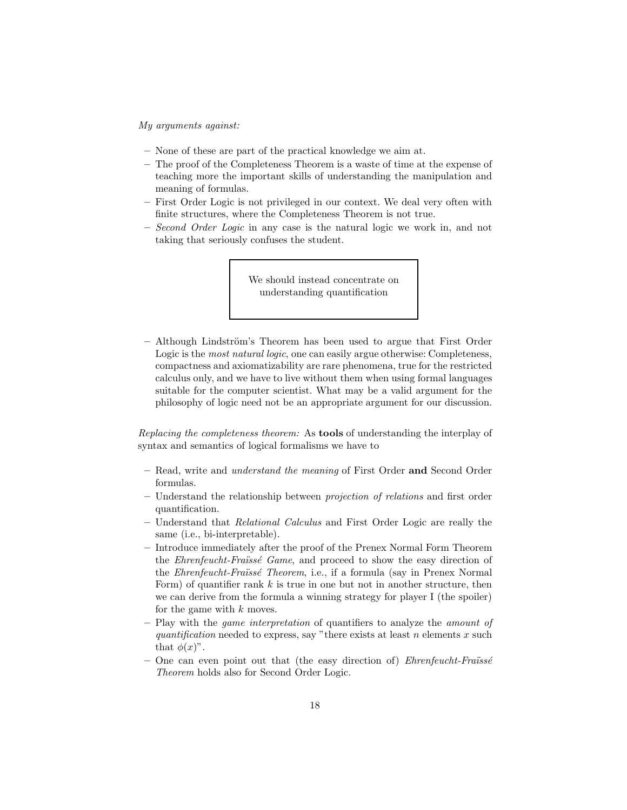My arguments against:

- None of these are part of the practical knowledge we aim at.
- The proof of the Completeness Theorem is a waste of time at the expense of teaching more the important skills of understanding the manipulation and meaning of formulas.
- First Order Logic is not privileged in our context. We deal very often with finite structures, where the Completeness Theorem is not true.
- Second Order Logic in any case is the natural logic we work in, and not taking that seriously confuses the student.

We should instead concentrate on understanding quantification

– Although Lindstr¨om's Theorem has been used to argue that First Order Logic is the *most natural logic*, one can easily argue otherwise: Completeness, compactness and axiomatizability are rare phenomena, true for the restricted calculus only, and we have to live without them when using formal languages suitable for the computer scientist. What may be a valid argument for the philosophy of logic need not be an appropriate argument for our discussion.

Replacing the completeness theorem: As tools of understanding the interplay of syntax and semantics of logical formalisms we have to

- Read, write and understand the meaning of First Order and Second Order formulas.
- Understand the relationship between projection of relations and first order quantification.
- Understand that Relational Calculus and First Order Logic are really the same (i.e., bi-interpretable).
- Introduce immediately after the proof of the Prenex Normal Form Theorem the *Ehrenfeucht-Fraüssé Game*, and proceed to show the easy direction of the Ehrenfeucht-Fraüssé Theorem, i.e., if a formula (say in Prenex Normal Form) of quantifier rank  $k$  is true in one but not in another structure, then we can derive from the formula a winning strategy for player I (the spoiler) for the game with  $k$  moves.
- Play with the game interpretation of quantifiers to analyze the amount of quantification needed to express, say "there exists at least  $n$  elements  $x$  such that  $\phi(x)$ ".
- One can even point out that (the easy direction of)  $Ehrenfeucht-Frais'$ Theorem holds also for Second Order Logic.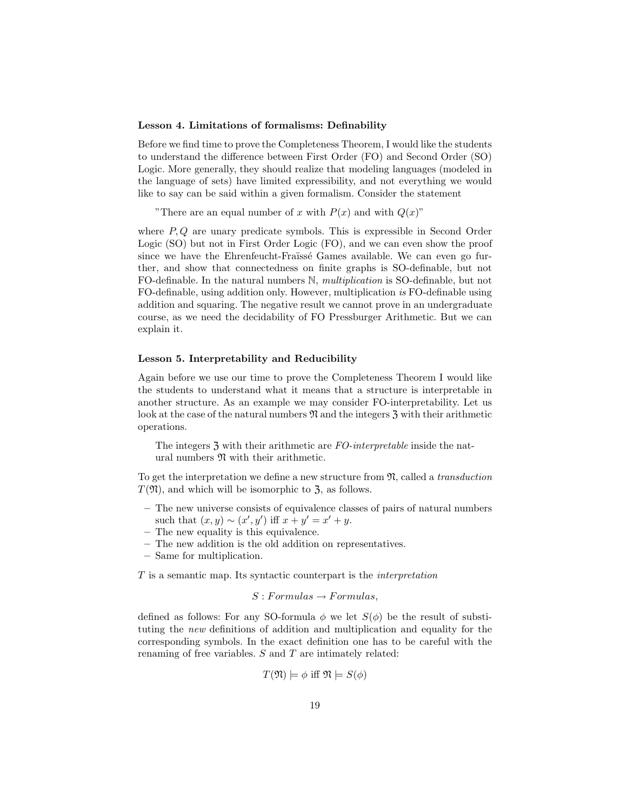### Lesson 4. Limitations of formalisms: Definability

Before we find time to prove the Completeness Theorem, I would like the students to understand the difference between First Order (FO) and Second Order (SO) Logic. More generally, they should realize that modeling languages (modeled in the language of sets) have limited expressibility, and not everything we would like to say can be said within a given formalism. Consider the statement

"There are an equal number of x with  $P(x)$  and with  $Q(x)$ "

where  $P, Q$  are unary predicate symbols. This is expressible in Second Order Logic (SO) but not in First Order Logic (FO), and we can even show the proof since we have the Ehrenfeucht-Fraïssé Games available. We can even go further, and show that connectedness on finite graphs is SO-definable, but not FO-definable. In the natural numbers N, multiplication is SO-definable, but not FO-definable, using addition only. However, multiplication is FO-definable using addition and squaring. The negative result we cannot prove in an undergraduate course, as we need the decidability of FO Pressburger Arithmetic. But we can explain it.

# Lesson 5. Interpretability and Reducibility

Again before we use our time to prove the Completeness Theorem I would like the students to understand what it means that a structure is interpretable in another structure. As an example we may consider FO-interpretability. Let us look at the case of the natural numbers  $\mathfrak{N}$  and the integers  $\mathfrak{Z}$  with their arithmetic operations.

The integers 3 with their arithmetic are FO-interpretable inside the natural numbers N with their arithmetic.

To get the interpretation we define a new structure from  $\mathfrak{N}$ , called a *transduction*  $T(\mathfrak{N})$ , and which will be isomorphic to 3, as follows.

- The new universe consists of equivalence classes of pairs of natural numbers such that  $(x, y) \sim (x', y')$  iff  $x + y' = x' + y$ .
- The new equality is this equivalence.
- The new addition is the old addition on representatives.
- Same for multiplication.

T is a semantic map. Its syntactic counterpart is the interpretation

$$
S: Formulas \rightarrow Formulas,
$$

defined as follows: For any SO-formula  $\phi$  we let  $S(\phi)$  be the result of substituting the new definitions of addition and multiplication and equality for the corresponding symbols. In the exact definition one has to be careful with the renaming of free variables. S and T are intimately related:

$$
T(\mathfrak{N}) \models \phi \text{ iff } \mathfrak{N} \models S(\phi)
$$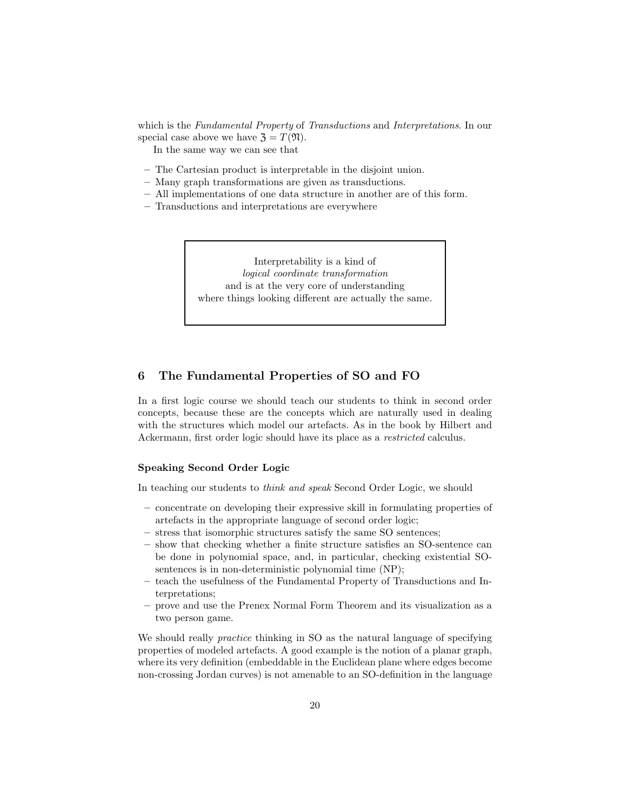which is the *Fundamental Property* of *Transductions* and *Interpretations*. In our special case above we have  $\mathfrak{Z} = T(\mathfrak{N}).$ 

In the same way we can see that

- The Cartesian product is interpretable in the disjoint union.
- Many graph transformations are given as transductions.
- All implementations of one data structure in another are of this form.
- Transductions and interpretations are everywhere

Interpretability is a kind of logical coordinate transformation and is at the very core of understanding where things looking different are actually the same.

# 6 The Fundamental Properties of SO and FO

In a first logic course we should teach our students to think in second order concepts, because these are the concepts which are naturally used in dealing with the structures which model our artefacts. As in the book by Hilbert and Ackermann, first order logic should have its place as a restricted calculus.

# Speaking Second Order Logic

In teaching our students to think and speak Second Order Logic, we should

- concentrate on developing their expressive skill in formulating properties of artefacts in the appropriate language of second order logic;
- stress that isomorphic structures satisfy the same SO sentences;
- show that checking whether a finite structure satisfies an SO-sentence can be done in polynomial space, and, in particular, checking existential SOsentences is in non-deterministic polynomial time (NP);
- teach the usefulness of the Fundamental Property of Transductions and Interpretations;
- prove and use the Prenex Normal Form Theorem and its visualization as a two person game.

We should really practice thinking in SO as the natural language of specifying properties of modeled artefacts. A good example is the notion of a planar graph, where its very definition (embeddable in the Euclidean plane where edges become non-crossing Jordan curves) is not amenable to an SO-definition in the language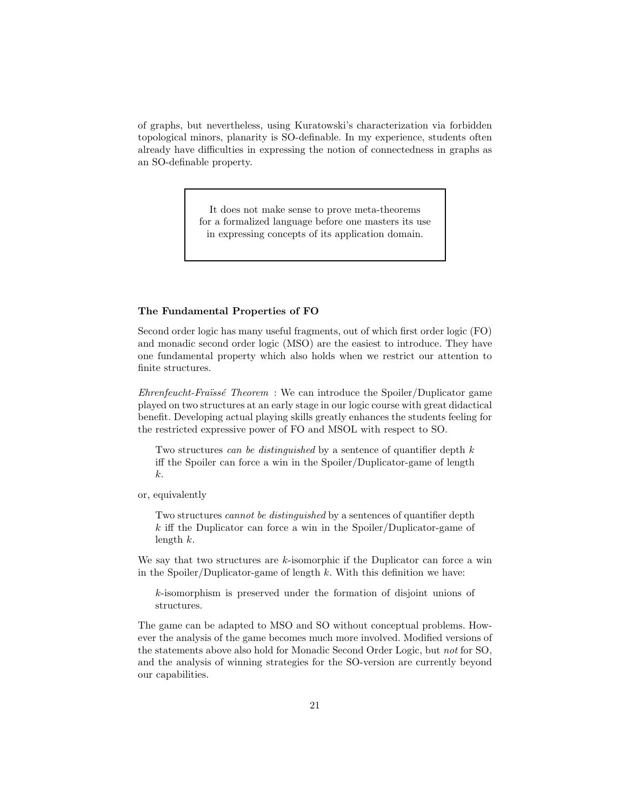of graphs, but nevertheless, using Kuratowski's characterization via forbidden topological minors, planarity is SO-definable. In my experience, students often already have difficulties in expressing the notion of connectedness in graphs as an SO-definable property.

> It does not make sense to prove meta-theorems for a formalized language before one masters its use in expressing concepts of its application domain.

# The Fundamental Properties of FO

Second order logic has many useful fragments, out of which first order logic (FO) and monadic second order logic (MSO) are the easiest to introduce. They have one fundamental property which also holds when we restrict our attention to finite structures.

 $Ehrenfeucht-Fraïssé Theorem: We can introduce the Spoiler/Duplicator game$ played on two structures at an early stage in our logic course with great didactical benefit. Developing actual playing skills greatly enhances the students feeling for the restricted expressive power of FO and MSOL with respect to SO.

Two structures can be distinguished by a sentence of quantifier depth  $k$ iff the Spoiler can force a win in the Spoiler/Duplicator-game of length k.

or, equivalently

Two structures *cannot be distinguished* by a sentences of quantifier depth  $k$  iff the Duplicator can force a win in the Spoiler/Duplicator-game of length k.

We say that two structures are  $k$ -isomorphic if the Duplicator can force a win in the Spoiler/Duplicator-game of length  $k$ . With this definition we have:

k-isomorphism is preserved under the formation of disjoint unions of structures.

The game can be adapted to MSO and SO without conceptual problems. However the analysis of the game becomes much more involved. Modified versions of the statements above also hold for Monadic Second Order Logic, but not for SO, and the analysis of winning strategies for the SO-version are currently beyond our capabilities.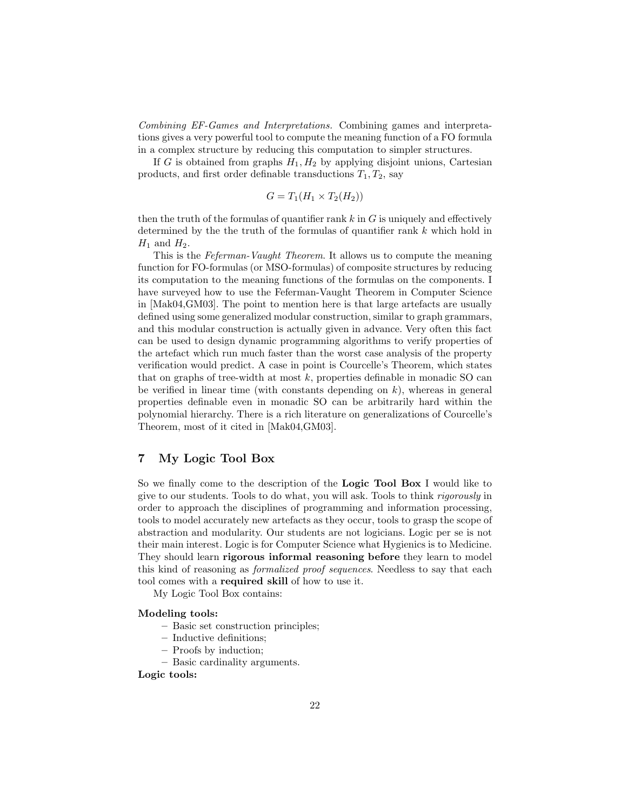Combining EF-Games and Interpretations. Combining games and interpretations gives a very powerful tool to compute the meaning function of a FO formula in a complex structure by reducing this computation to simpler structures.

If G is obtained from graphs  $H_1, H_2$  by applying disjoint unions, Cartesian products, and first order definable transductions  $T_1, T_2$ , say

$$
G = T_1(H_1 \times T_2(H_2))
$$

then the truth of the formulas of quantifier rank  $k$  in  $G$  is uniquely and effectively determined by the the truth of the formulas of quantifier rank  $k$  which hold in  $H_1$  and  $H_2$ .

This is the Feferman-Vaught Theorem. It allows us to compute the meaning function for FO-formulas (or MSO-formulas) of composite structures by reducing its computation to the meaning functions of the formulas on the components. I have surveyed how to use the Feferman-Vaught Theorem in Computer Science in [Mak04,GM03]. The point to mention here is that large artefacts are usually defined using some generalized modular construction, similar to graph grammars, and this modular construction is actually given in advance. Very often this fact can be used to design dynamic programming algorithms to verify properties of the artefact which run much faster than the worst case analysis of the property verification would predict. A case in point is Courcelle's Theorem, which states that on graphs of tree-width at most  $k$ , properties definable in monadic SO can be verified in linear time (with constants depending on  $k$ ), whereas in general properties definable even in monadic SO can be arbitrarily hard within the polynomial hierarchy. There is a rich literature on generalizations of Courcelle's Theorem, most of it cited in [Mak04,GM03].

# 7 My Logic Tool Box

So we finally come to the description of the Logic Tool Box I would like to give to our students. Tools to do what, you will ask. Tools to think rigorously in order to approach the disciplines of programming and information processing, tools to model accurately new artefacts as they occur, tools to grasp the scope of abstraction and modularity. Our students are not logicians. Logic per se is not their main interest. Logic is for Computer Science what Hygienics is to Medicine. They should learn rigorous informal reasoning before they learn to model this kind of reasoning as formalized proof sequences. Needless to say that each tool comes with a required skill of how to use it.

My Logic Tool Box contains:

# Modeling tools:

- Basic set construction principles;
- Inductive definitions;
- Proofs by induction;
- Basic cardinality arguments.

Logic tools: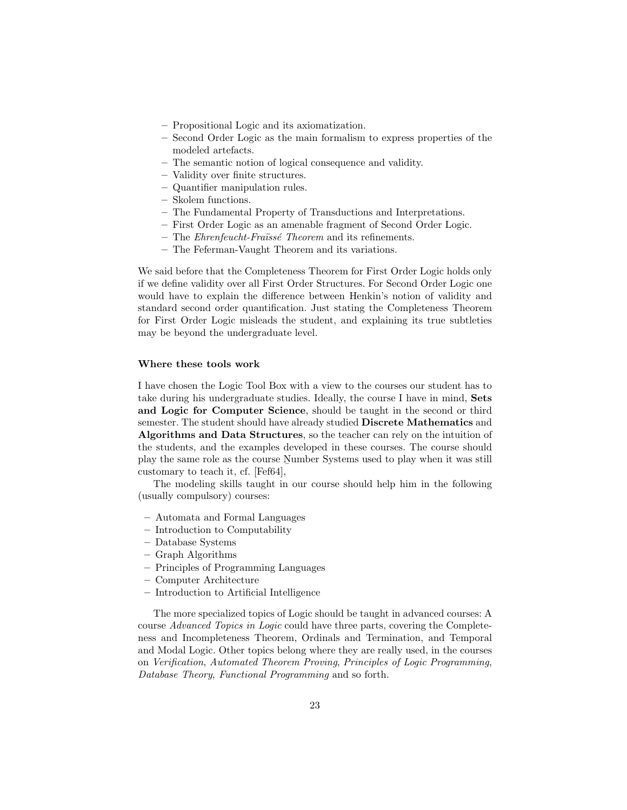- Propositional Logic and its axiomatization.
- Second Order Logic as the main formalism to express properties of the modeled artefacts.
- The semantic notion of logical consequence and validity.
- Validity over finite structures.
- Quantifier manipulation rules.
- Skolem functions.
- The Fundamental Property of Transductions and Interpretations.
- First Order Logic as an amenable fragment of Second Order Logic.
- $-$  The *Ehrenfeucht-Fraüssé Theorem* and its refinements.
- The Feferman-Vaught Theorem and its variations.

We said before that the Completeness Theorem for First Order Logic holds only if we define validity over all First Order Structures. For Second Order Logic one would have to explain the difference between Henkin's notion of validity and standard second order quantification. Just stating the Completeness Theorem for First Order Logic misleads the student, and explaining its true subtleties may be beyond the undergraduate level.

### Where these tools work

I have chosen the Logic Tool Box with a view to the courses our student has to take during his undergraduate studies. Ideally, the course I have in mind, Sets and Logic for Computer Science, should be taught in the second or third semester. The student should have already studied Discrete Mathematics and Algorithms and Data Structures, so the teacher can rely on the intuition of the students, and the examples developed in these courses. The course should play the same role as the course N umber Systems used to play when it was still ¯ customary to teach it, cf. [Fef64],

The modeling skills taught in our course should help him in the following (usually compulsory) courses:

- Automata and Formal Languages
- Introduction to Computability
- Database Systems
- Graph Algorithms
- Principles of Programming Languages
- Computer Architecture
- Introduction to Artificial Intelligence

The more specialized topics of Logic should be taught in advanced courses: A course Advanced Topics in Logic could have three parts, covering the Completeness and Incompleteness Theorem, Ordinals and Termination, and Temporal and Modal Logic. Other topics belong where they are really used, in the courses on Verification, Automated Theorem Proving, Principles of Logic Programming, Database Theory, Functional Programming and so forth.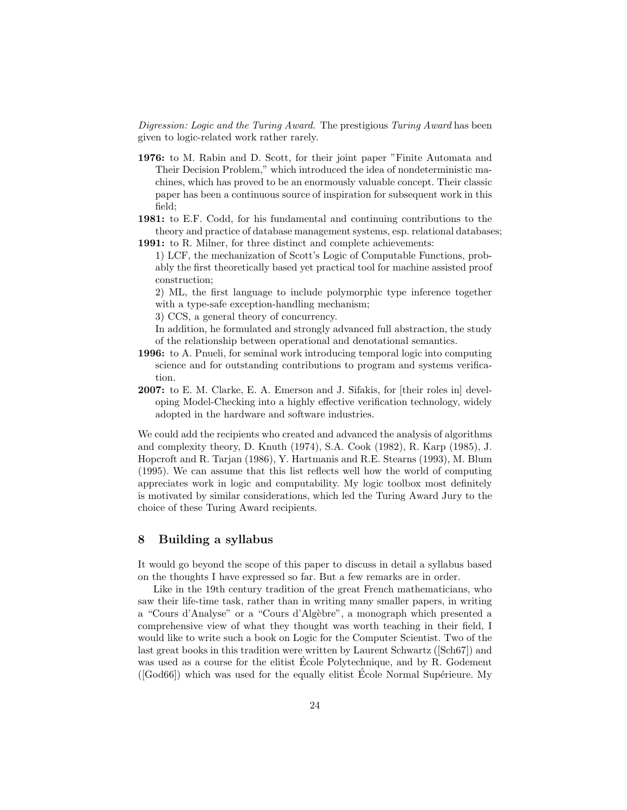Digression: Logic and the Turing Award. The prestigious Turing Award has been given to logic-related work rather rarely.

- 1976: to M. Rabin and D. Scott, for their joint paper "Finite Automata and Their Decision Problem," which introduced the idea of nondeterministic machines, which has proved to be an enormously valuable concept. Their classic paper has been a continuous source of inspiration for subsequent work in this field;
- 1981: to E.F. Codd, for his fundamental and continuing contributions to the theory and practice of database management systems, esp. relational databases;
- 1991: to R. Milner, for three distinct and complete achievements: 1) LCF, the mechanization of Scott's Logic of Computable Functions, prob-

ably the first theoretically based yet practical tool for machine assisted proof construction;

2) ML, the first language to include polymorphic type inference together with a type-safe exception-handling mechanism;

3) CCS, a general theory of concurrency.

- In addition, he formulated and strongly advanced full abstraction, the study of the relationship between operational and denotational semantics.
- 1996: to A. Pnueli, for seminal work introducing temporal logic into computing science and for outstanding contributions to program and systems verification.
- 2007: to E. M. Clarke, E. A. Emerson and J. Sifakis, for [their roles in] developing Model-Checking into a highly effective verification technology, widely adopted in the hardware and software industries.

We could add the recipients who created and advanced the analysis of algorithms and complexity theory, D. Knuth (1974), S.A. Cook (1982), R. Karp (1985), J. Hopcroft and R. Tarjan (1986), Y. Hartmanis and R.E. Stearns (1993), M. Blum (1995). We can assume that this list reflects well how the world of computing appreciates work in logic and computability. My logic toolbox most definitely is motivated by similar considerations, which led the Turing Award Jury to the choice of these Turing Award recipients.

# 8 Building a syllabus

It would go beyond the scope of this paper to discuss in detail a syllabus based on the thoughts I have expressed so far. But a few remarks are in order.

Like in the 19th century tradition of the great French mathematicians, who saw their life-time task, rather than in writing many smaller papers, in writing a "Cours d'Analyse" or a "Cours d'Algèbre", a monograph which presented a comprehensive view of what they thought was worth teaching in their field, I would like to write such a book on Logic for the Computer Scientist. Two of the last great books in this tradition were written by Laurent Schwartz ([Sch67]) and was used as a course for the elitist Ecole Polytechnique, and by R. Godement  $({[God66]})$  which was used for the equally elitist Ecole Normal Supérieure. My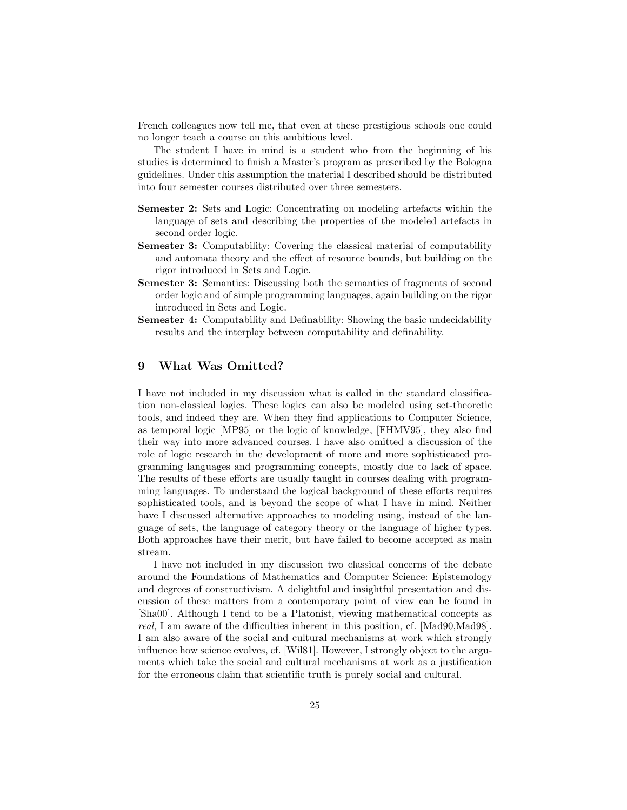French colleagues now tell me, that even at these prestigious schools one could no longer teach a course on this ambitious level.

The student I have in mind is a student who from the beginning of his studies is determined to finish a Master's program as prescribed by the Bologna guidelines. Under this assumption the material I described should be distributed into four semester courses distributed over three semesters.

- Semester 2: Sets and Logic: Concentrating on modeling artefacts within the language of sets and describing the properties of the modeled artefacts in second order logic.
- Semester 3: Computability: Covering the classical material of computability and automata theory and the effect of resource bounds, but building on the rigor introduced in Sets and Logic.
- Semester 3: Semantics: Discussing both the semantics of fragments of second order logic and of simple programming languages, again building on the rigor introduced in Sets and Logic.
- Semester 4: Computability and Definability: Showing the basic undecidability results and the interplay between computability and definability.

# 9 What Was Omitted?

I have not included in my discussion what is called in the standard classification non-classical logics. These logics can also be modeled using set-theoretic tools, and indeed they are. When they find applications to Computer Science, as temporal logic [MP95] or the logic of knowledge, [FHMV95], they also find their way into more advanced courses. I have also omitted a discussion of the role of logic research in the development of more and more sophisticated programming languages and programming concepts, mostly due to lack of space. The results of these efforts are usually taught in courses dealing with programming languages. To understand the logical background of these efforts requires sophisticated tools, and is beyond the scope of what I have in mind. Neither have I discussed alternative approaches to modeling using, instead of the language of sets, the language of category theory or the language of higher types. Both approaches have their merit, but have failed to become accepted as main stream.

I have not included in my discussion two classical concerns of the debate around the Foundations of Mathematics and Computer Science: Epistemology and degrees of constructivism. A delightful and insightful presentation and discussion of these matters from a contemporary point of view can be found in [Sha00]. Although I tend to be a Platonist, viewing mathematical concepts as real, I am aware of the difficulties inherent in this position, cf. [Mad90,Mad98]. I am also aware of the social and cultural mechanisms at work which strongly influence how science evolves, cf. [Wil81]. However, I strongly object to the arguments which take the social and cultural mechanisms at work as a justification for the erroneous claim that scientific truth is purely social and cultural.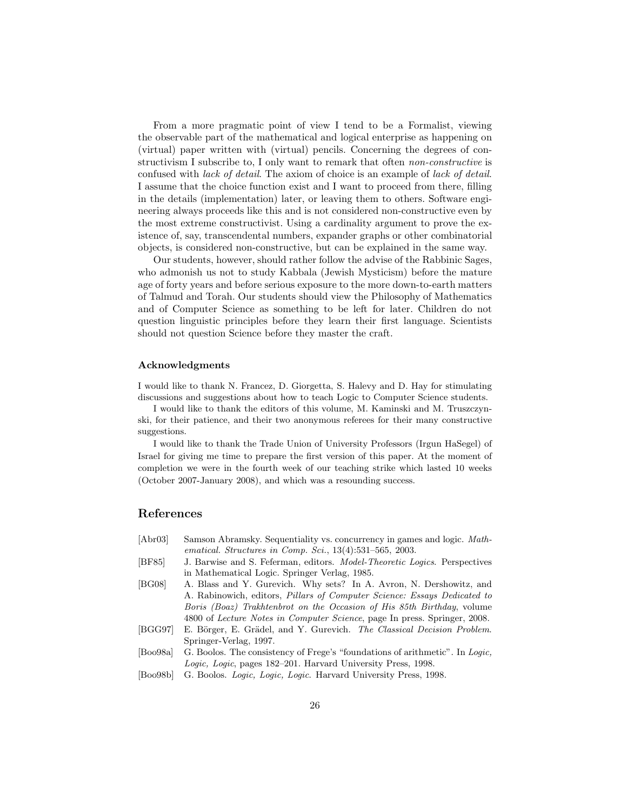From a more pragmatic point of view I tend to be a Formalist, viewing the observable part of the mathematical and logical enterprise as happening on (virtual) paper written with (virtual) pencils. Concerning the degrees of constructivism I subscribe to, I only want to remark that often non-constructive is confused with lack of detail. The axiom of choice is an example of lack of detail. I assume that the choice function exist and I want to proceed from there, filling in the details (implementation) later, or leaving them to others. Software engineering always proceeds like this and is not considered non-constructive even by the most extreme constructivist. Using a cardinality argument to prove the existence of, say, transcendental numbers, expander graphs or other combinatorial objects, is considered non-constructive, but can be explained in the same way.

Our students, however, should rather follow the advise of the Rabbinic Sages, who admonish us not to study Kabbala (Jewish Mysticism) before the mature age of forty years and before serious exposure to the more down-to-earth matters of Talmud and Torah. Our students should view the Philosophy of Mathematics and of Computer Science as something to be left for later. Children do not question linguistic principles before they learn their first language. Scientists should not question Science before they master the craft.

### Acknowledgments

I would like to thank N. Francez, D. Giorgetta, S. Halevy and D. Hay for stimulating discussions and suggestions about how to teach Logic to Computer Science students.

I would like to thank the editors of this volume, M. Kaminski and M. Truszczynski, for their patience, and their two anonymous referees for their many constructive suggestions.

I would like to thank the Trade Union of University Professors (Irgun HaSegel) of Israel for giving me time to prepare the first version of this paper. At the moment of completion we were in the fourth week of our teaching strike which lasted 10 weeks (October 2007-January 2008), and which was a resounding success.

# References

- [Abr03] Samson Abramsky. Sequentiality vs. concurrency in games and logic. Mathematical. Structures in Comp. Sci., 13(4):531–565, 2003.
- [BF85] J. Barwise and S. Feferman, editors. Model-Theoretic Logics. Perspectives in Mathematical Logic. Springer Verlag, 1985.
- [BG08] A. Blass and Y. Gurevich. Why sets? In A. Avron, N. Dershowitz, and A. Rabinowich, editors, Pillars of Computer Science: Essays Dedicated to Boris (Boaz) Trakhtenbrot on the Occasion of His 85th Birthday, volume 4800 of Lecture Notes in Computer Science, page In press. Springer, 2008.
- [BGG97] E. Börger, E. Grädel, and Y. Gurevich. The Classical Decision Problem. Springer-Verlag, 1997.
- [Boo98a] G. Boolos. The consistency of Frege's "foundations of arithmetic". In Logic, Logic, Logic, pages 182–201. Harvard University Press, 1998.
- [Boo98b] G. Boolos. Logic, Logic, Logic. Harvard University Press, 1998.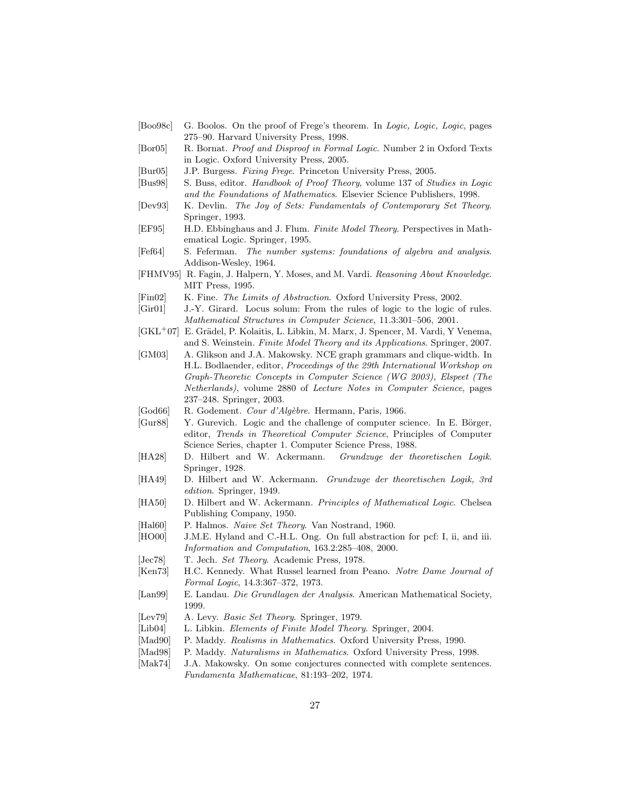- [Boo98c] G. Boolos. On the proof of Frege's theorem. In Logic, Logic, Logic, pages 275–90. Harvard University Press, 1998.
- [Bor05] R. Bornat. Proof and Disproof in Formal Logic. Number 2 in Oxford Texts in Logic. Oxford University Press, 2005.
- [Bur05] J.P. Burgess. Fixing Frege. Princeton University Press, 2005.
- [Bus98] S. Buss, editor. Handbook of Proof Theory, volume 137 of Studies in Logic and the Foundations of Mathematics. Elsevier Science Publishers, 1998.
- [Dev93] K. Devlin. The Joy of Sets: Fundamentals of Contemporary Set Theory. Springer, 1993.
- [EF95] H.D. Ebbinghaus and J. Flum. Finite Model Theory. Perspectives in Mathematical Logic. Springer, 1995.
- [Fef64] S. Feferman. The number systems: foundations of algebra and analysis. Addison-Wesley, 1964.
- [FHMV95] R. Fagin, J. Halpern, Y. Moses, and M. Vardi. Reasoning About Knowledge. MIT Press, 1995.
- [Fin02] K. Fine. The Limits of Abstraction. Oxford University Press, 2002.
- [Gir01] J.-Y. Girard. Locus solum: From the rules of logic to the logic of rules. Mathematical Structures in Computer Science, 11.3:301–506, 2001.
- $[GKL+07]$  E. Grädel, P. Kolaitis, L. Libkin, M. Marx, J. Spencer, M. Vardi, Y Venema, and S. Weinstein. Finite Model Theory and its Applications. Springer, 2007.
- [GM03] A. Glikson and J.A. Makowsky. NCE graph grammars and clique-width. In H.L. Bodlaender, editor, Proceedings of the 29th International Workshop on Graph-Theoretic Concepts in Computer Science (WG 2003), Elspeet (The Netherlands), volume 2880 of Lecture Notes in Computer Science, pages 237–248. Springer, 2003.
- [God66] R. Godement. Cour d'Algèbre. Hermann, Paris, 1966.
- [Gur88] Y. Gurevich. Logic and the challenge of computer science. In E. Börger, editor, Trends in Theoretical Computer Science, Principles of Computer Science Series, chapter 1. Computer Science Press, 1988.
- [HA28] D. Hilbert and W. Ackermann. Grundzuge der theoretischen Logik. Springer, 1928.
- [HA49] D. Hilbert and W. Ackermann. Grundzuge der theoretischen Logik, 3rd edition. Springer, 1949.
- [HA50] D. Hilbert and W. Ackermann. Principles of Mathematical Logic. Chelsea Publishing Company, 1950.
- [Hal60] P. Halmos. Naive Set Theory. Van Nostrand, 1960.
- [HO00] J.M.E. Hyland and C.-H.L. Ong. On full abstraction for pcf: I, ii, and iii. Information and Computation, 163.2:285–408, 2000.
- [Jec78] T. Jech. Set Theory. Academic Press, 1978.
- [Ken73] H.C. Kennedy. What Russel learned from Peano. Notre Dame Journal of Formal Logic, 14.3:367–372, 1973.
- [Lan99] E. Landau. Die Grundlagen der Analysis. American Mathematical Society, 1999.
- [Lev79] A. Levy. Basic Set Theory. Springer, 1979.
- [Lib04] L. Libkin. Elements of Finite Model Theory. Springer, 2004.
- [Mad90] P. Maddy. Realisms in Mathematics. Oxford University Press, 1990.
- [Mad98] P. Maddy. Naturalisms in Mathematics. Oxford University Press, 1998.
- [Mak74] J.A. Makowsky. On some conjectures connected with complete sentences. Fundamenta Mathematicae, 81:193–202, 1974.